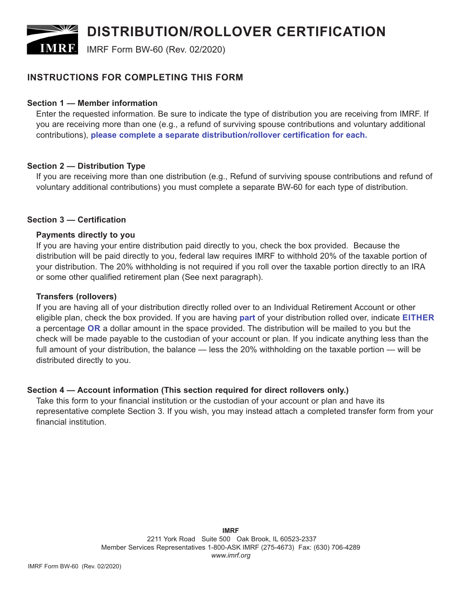# **DISTRIBUTION/ROLLOVER CERTIFICATION**

**IMRE** IMRF Form BW-60 (Rev. 02/2020)

# **INSTRUCTIONS FOR COMPLETING THIS FORM**

# **Section 1 — Member information**

Enter the requested information. Be sure to indicate the type of distribution you are receiving from IMRF. If you are receiving more than one (e.g., a refund of surviving spouse contributions and voluntary additional contributions), **please complete a separate distribution/rollover certification for each.**

# **Section 2 — Distribution Type**

If you are receiving more than one distribution (e.g., Refund of surviving spouse contributions and refund of voluntary additional contributions) you must complete a separate BW-60 for each type of distribution.

# **Section 3 — Certification**

# **Payments directly to you**

If you are having your entire distribution paid directly to you, check the box provided. Because the distribution will be paid directly to you, federal law requires IMRF to withhold 20% of the taxable portion of your distribution. The 20% withholding is not required if you roll over the taxable portion directly to an IRA or some other qualified retirement plan (See next paragraph).

## **Transfers (rollovers)**

If you are having all of your distribution directly rolled over to an Individual Retirement Account or other eligible plan, check the box provided. If you are having **part** of your distribution rolled over, indicate **EITHER** a percentage **OR** a dollar amount in the space provided. The distribution will be mailed to you but the check will be made payable to the custodian of your account or plan. If you indicate anything less than the full amount of your distribution, the balance — less the 20% withholding on the taxable portion — will be distributed directly to you.

# **Section 4 — Account information (This section required for direct rollovers only.)**

Take this form to your financial institution or the custodian of your account or plan and have its representative complete Section 3. If you wish, you may instead attach a completed transfer form from your financial institution.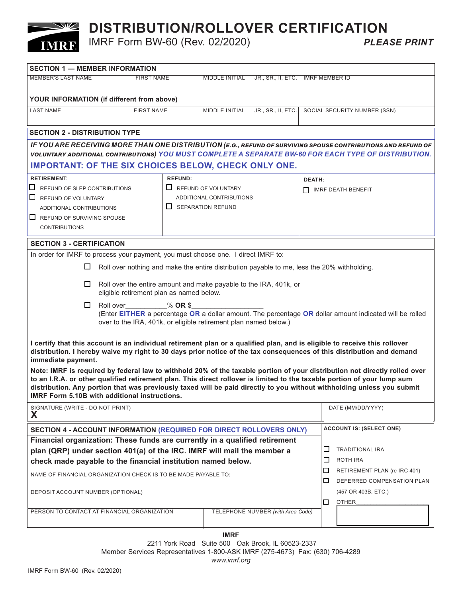# **DISTRIBUTION/ROLLOVER CERTIFICATION**<br>IMRF Form BW-60 (Rev. 02/2020)<br>PLEASE PRINT

**IMRF Form BW-60 (Rev. 02/2020)** 

 $\sqrt{2}$ 

**IMRF** 

| <b>SECTION 1 - MEMBER INFORMATION</b>                                                                                                                                                                                                                                                                                                                                                                                                    |                   |                            |                    |                       |                           |                                                            |
|------------------------------------------------------------------------------------------------------------------------------------------------------------------------------------------------------------------------------------------------------------------------------------------------------------------------------------------------------------------------------------------------------------------------------------------|-------------------|----------------------------|--------------------|-----------------------|---------------------------|------------------------------------------------------------|
| <b>MEMBER'S LAST NAME</b>                                                                                                                                                                                                                                                                                                                                                                                                                | <b>FIRST NAME</b> | MIDDLE INITIAL             | JR., SR., II, ETC. | <b>IMRF MEMBER ID</b> |                           |                                                            |
| YOUR INFORMATION (if different from above)                                                                                                                                                                                                                                                                                                                                                                                               |                   |                            |                    |                       |                           |                                                            |
| <b>LAST NAME</b>                                                                                                                                                                                                                                                                                                                                                                                                                         | <b>FIRST NAME</b> |                            | MIDDLE INITIAL     | JR., SR., II, ETC.    |                           | SOCIAL SECURITY NUMBER (SSN)                               |
| <b>SECTION 2 - DISTRIBUTION TYPE</b>                                                                                                                                                                                                                                                                                                                                                                                                     |                   |                            |                    |                       |                           |                                                            |
| IF YOU ARE RECEIVING MORE THAN ONE DISTRIBUTION (E.G., REFUND OF SURVIVING SPOUSE CONTRIBUTIONS AND REFUND OF<br>VOLUNTARY ADDITIONAL CONTRIBUTIONS) YOU MUST COMPLETE A SEPARATE BW-60 FOR EACH TYPE OF DISTRIBUTION.                                                                                                                                                                                                                   |                   |                            |                    |                       |                           |                                                            |
| <b>IMPORTANT: OF THE SIX CHOICES BELOW, CHECK ONLY ONE.</b>                                                                                                                                                                                                                                                                                                                                                                              |                   |                            |                    |                       |                           |                                                            |
| <b>RETIREMENT:</b>                                                                                                                                                                                                                                                                                                                                                                                                                       | <b>REFUND:</b>    |                            |                    | <b>DEATH:</b>         |                           |                                                            |
| $\Box$ REFUND OF SLEP CONTRIBUTIONS                                                                                                                                                                                                                                                                                                                                                                                                      |                   | $\Box$ REFUND OF VOLUNTARY |                    |                       | <b>NARF DEATH BENEFIT</b> |                                                            |
| $\Box$ REFUND OF VOLUNTARY                                                                                                                                                                                                                                                                                                                                                                                                               |                   | ADDITIONAL CONTRIBUTIONS   |                    |                       |                           |                                                            |
| ADDITIONAL CONTRIBUTIONS                                                                                                                                                                                                                                                                                                                                                                                                                 |                   | $\Box$ SEPARATION REFUND   |                    |                       |                           |                                                            |
| $\Box$ REFUND OF SURVIVING SPOUSE                                                                                                                                                                                                                                                                                                                                                                                                        |                   |                            |                    |                       |                           |                                                            |
| <b>CONTRIBUTIONS</b>                                                                                                                                                                                                                                                                                                                                                                                                                     |                   |                            |                    |                       |                           |                                                            |
| <b>SECTION 3 - CERTIFICATION</b>                                                                                                                                                                                                                                                                                                                                                                                                         |                   |                            |                    |                       |                           |                                                            |
| In order for IMRF to process your payment, you must choose one. I direct IMRF to:                                                                                                                                                                                                                                                                                                                                                        |                   |                            |                    |                       |                           |                                                            |
| $\Box$<br>Roll over nothing and make the entire distribution payable to me, less the 20% withholding.                                                                                                                                                                                                                                                                                                                                    |                   |                            |                    |                       |                           |                                                            |
| Roll over the entire amount and make payable to the IRA, 401k, or<br>⊔<br>eligible retirement plan as named below.                                                                                                                                                                                                                                                                                                                       |                   |                            |                    |                       |                           |                                                            |
| □<br>Roll over<br>$%$ OR \$<br>(Enter EITHER a percentage OR a dollar amount. The percentage OR dollar amount indicated will be rolled<br>over to the IRA, 401k, or eligible retirement plan named below.)                                                                                                                                                                                                                               |                   |                            |                    |                       |                           |                                                            |
| I certify that this account is an individual retirement plan or a qualified plan, and is eligible to receive this rollover<br>distribution. I hereby waive my right to 30 days prior notice of the tax consequences of this distribution and demand<br>immediate payment.                                                                                                                                                                |                   |                            |                    |                       |                           |                                                            |
| Note: IMRF is required by federal law to withhold 20% of the taxable portion of your distribution not directly rolled over<br>to an I.R.A. or other qualified retirement plan. This direct rollover is limited to the taxable portion of your lump sum<br>distribution. Any portion that was previously taxed will be paid directly to you without withholding unless you submit<br><b>IMRF Form 5.10B with additional instructions.</b> |                   |                            |                    |                       |                           |                                                            |
| SIGNATURE (WRITE - DO NOT PRINT)<br>X                                                                                                                                                                                                                                                                                                                                                                                                    |                   |                            |                    |                       |                           | DATE (MM/DD/YYYY)                                          |
| SECTION 4 - ACCOUNT INFORMATION (REQUIRED FOR DIRECT ROLLOVERS ONLY)                                                                                                                                                                                                                                                                                                                                                                     |                   |                            |                    |                       |                           | <b>ACCOUNT IS: (SELECT ONE)</b>                            |
| Financial organization: These funds are currently in a qualified retirement                                                                                                                                                                                                                                                                                                                                                              |                   |                            |                    |                       |                           |                                                            |
| plan (QRP) under section 401(a) of the IRC. IMRF will mail the member a                                                                                                                                                                                                                                                                                                                                                                  |                   |                            |                    |                       | □                         | <b>TRADITIONAL IRA</b>                                     |
| check made payable to the financial institution named below.                                                                                                                                                                                                                                                                                                                                                                             |                   |                            |                    |                       | □                         | ROTH IRA                                                   |
| NAME OF FINANCIAL ORGANIZATION CHECK IS TO BE MADE PAYABLE TO:                                                                                                                                                                                                                                                                                                                                                                           |                   |                            |                    |                       | □<br>□                    | RETIREMENT PLAN (re IRC 401)<br>DEFERRED COMPENSATION PLAN |
| DEPOSIT ACCOUNT NUMBER (OPTIONAL)                                                                                                                                                                                                                                                                                                                                                                                                        |                   |                            |                    |                       | □                         | (457 OR 403B, ETC.)<br><b>OTHER</b>                        |
| PERSON TO CONTACT AT FINANCIAL ORGANIZATION<br>TELEPHONE NUMBER (with Area Code)                                                                                                                                                                                                                                                                                                                                                         |                   |                            |                    |                       |                           |                                                            |
|                                                                                                                                                                                                                                                                                                                                                                                                                                          |                   |                            |                    |                       |                           |                                                            |

**IMRF**

2211 York Road Suite 500 Oak Brook, IL 60523-2337 Member Services Representatives 1-800-ASK IMRF (275-4673) Fax: (630) 706-4289 *www.imrf.org*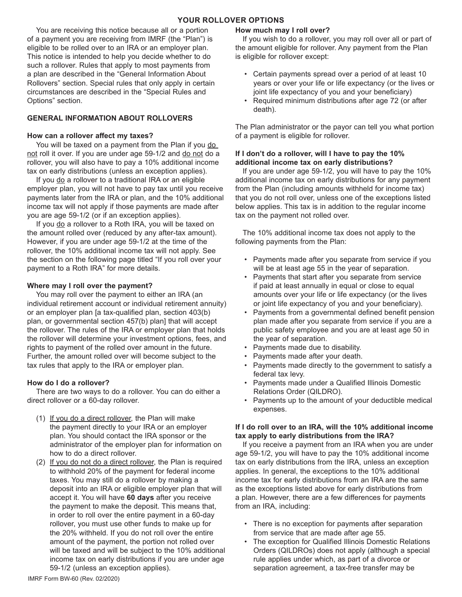### **YOUR ROLLOVER OPTIONS**

You are receiving this notice because all or a portion of a payment you are receiving from IMRF (the "Plan") is eligible to be rolled over to an IRA or an employer plan. This notice is intended to help you decide whether to do such a rollover. Rules that apply to most payments from a plan are described in the "General Information About Rollovers" section. Special rules that only apply in certain circumstances are described in the "Special Rules and Options" section.

#### **GENERAL INFORMATION ABOUT ROLLOVERS**

#### **How can a rollover affect my taxes?**

You will be taxed on a payment from the Plan if you do not roll it over. If you are under age 59-1/2 and do not do a rollover, you will also have to pay a 10% additional income tax on early distributions (unless an exception applies).

If you do a rollover to a traditional IRA or an eligible employer plan, you will not have to pay tax until you receive payments later from the IRA or plan, and the 10% additional income tax will not apply if those payments are made after you are age 59-1/2 (or if an exception applies).

If you do a rollover to a Roth IRA, you will be taxed on the amount rolled over (reduced by any after-tax amount). However, if you are under age 59-1/2 at the time of the rollover, the 10% additional income tax will not apply. See the section on the following page titled "If you roll over your payment to a Roth IRA" for more details.

#### **Where may I roll over the payment?**

You may roll over the payment to either an IRA (an individual retirement account or individual retirement annuity) or an employer plan [a tax-qualified plan, section 403(b) plan, or governmental section 457(b) plan] that will accept the rollover. The rules of the IRA or employer plan that holds the rollover will determine your investment options, fees, and rights to payment of the rolled over amount in the future. Further, the amount rolled over will become subject to the tax rules that apply to the IRA or employer plan.

#### **How do I do a rollover?**

There are two ways to do a rollover. You can do either a direct rollover or a 60-day rollover.

- (1) If you do a direct rollover, the Plan will make the payment directly to your IRA or an employer plan. You should contact the IRA sponsor or the administrator of the employer plan for information on how to do a direct rollover.
- (2) If you do not do a direct rollover, the Plan is required to withhold 20% of the payment for federal income taxes. You may still do a rollover by making a deposit into an IRA or eligible employer plan that will accept it. You will have **60 days** after you receive the payment to make the deposit. This means that, in order to roll over the entire payment in a 60-day rollover, you must use other funds to make up for the 20% withheld. If you do not roll over the entire amount of the payment, the portion not rolled over will be taxed and will be subject to the 10% additional income tax on early distributions if you are under age 59-1/2 (unless an exception applies).

#### **How much may I roll over?**

If you wish to do a rollover, you may roll over all or part of the amount eligible for rollover. Any payment from the Plan is eligible for rollover except:

- Certain payments spread over a period of at least 10 years or over your life or life expectancy (or the lives or joint life expectancy of you and your beneficiary)
- Required minimum distributions after age 72 (or after death).

The Plan administrator or the payor can tell you what portion of a payment is eligible for rollover.

#### **If I don't do a rollover, will I have to pay the 10% additional income tax on early distributions?**

If you are under age 59-1/2, you will have to pay the 10% additional income tax on early distributions for any payment from the Plan (including amounts withheld for income tax) that you do not roll over, unless one of the exceptions listed below applies. This tax is in addition to the regular income tax on the payment not rolled over.

The 10% additional income tax does not apply to the following payments from the Plan:

- Payments made after you separate from service if you will be at least age 55 in the year of separation.
- Payments that start after you separate from service if paid at least annually in equal or close to equal amounts over your life or life expectancy (or the lives or joint life expectancy of you and your beneficiary).
- Payments from a governmental defined benefit pension plan made after you separate from service if you are a public safety employee and you are at least age 50 in the year of separation.
- Payments made due to disability.
- Payments made after your death.
- Payments made directly to the government to satisfy a federal tax levy.
- Payments made under a Qualified Illinois Domestic Relations Order (QILDRO).
- Payments up to the amount of your deductible medical expenses.

#### **If I do roll over to an IRA, will the 10% additional income tax apply to early distributions from the IRA?**

If you receive a payment from an IRA when you are under age 59-1/2, you will have to pay the 10% additional income tax on early distributions from the IRA, unless an exception applies. In general, the exceptions to the 10% additional income tax for early distributions from an IRA are the same as the exceptions listed above for early distributions from a plan. However, there are a few differences for payments from an IRA, including:

- There is no exception for payments after separation from service that are made after age 55.
- The exception for Qualified Illinois Domestic Relations Orders (QILDROs) does not apply (although a special rule applies under which, as part of a divorce or separation agreement, a tax-free transfer may be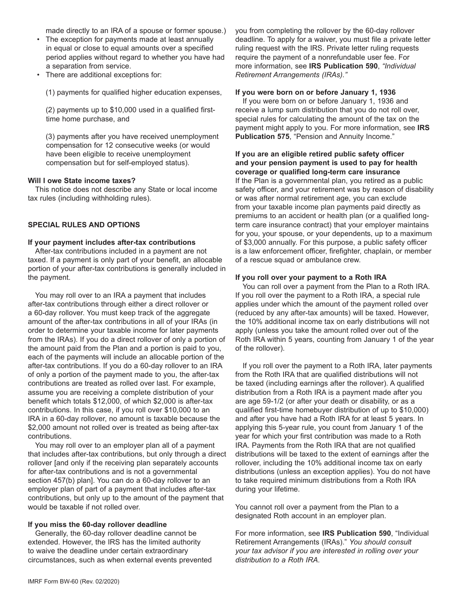made directly to an IRA of a spouse or former spouse.)

- The exception for payments made at least annually in equal or close to equal amounts over a specified period applies without regard to whether you have had a separation from service.
- There are additional exceptions for:

(1) payments for qualified higher education expenses,

(2) payments up to \$10,000 used in a qualified firsttime home purchase, and

(3) payments after you have received unemployment compensation for 12 consecutive weeks (or would have been eligible to receive unemployment compensation but for self-employed status).

#### **Will I owe State income taxes?**

This notice does not describe any State or local income tax rules (including withholding rules).

#### **SPECIAL RULES AND OPTIONS**

#### **If your payment includes after-tax contributions**

After-tax contributions included in a payment are not taxed. If a payment is only part of your benefit, an allocable portion of your after-tax contributions is generally included in the payment.

You may roll over to an IRA a payment that includes after-tax contributions through either a direct rollover or a 60-day rollover. You must keep track of the aggregate amount of the after-tax contributions in all of your IRAs (in order to determine your taxable income for later payments from the IRAs). If you do a direct rollover of only a portion of the amount paid from the Plan and a portion is paid to you, each of the payments will include an allocable portion of the after-tax contributions. If you do a 60-day rollover to an IRA of only a portion of the payment made to you, the after-tax contributions are treated as rolled over last. For example, assume you are receiving a complete distribution of your benefit which totals \$12,000, of which \$2,000 is after-tax contributions. In this case, if you roll over \$10,000 to an IRA in a 60-day rollover, no amount is taxable because the \$2,000 amount not rolled over is treated as being after-tax contributions.

You may roll over to an employer plan all of a payment that includes after-tax contributions, but only through a direct rollover [and only if the receiving plan separately accounts for after-tax contributions and is not a governmental section 457(b) plan]. You can do a 60-day rollover to an employer plan of part of a payment that includes after-tax contributions, but only up to the amount of the payment that would be taxable if not rolled over.

#### **If you miss the 60-day rollover deadline**

Generally, the 60-day rollover deadline cannot be extended. However, the IRS has the limited authority to waive the deadline under certain extraordinary circumstances, such as when external events prevented you from completing the rollover by the 60-day rollover deadline. To apply for a waiver, you must file a private letter ruling request with the IRS. Private letter ruling requests require the payment of a nonrefundable user fee. For more information, see **IRS Publication 590**, *"Individual Retirement Arrangements (IRAs)."*

#### **If you were born on or before January 1, 1936**

If you were born on or before January 1, 1936 and receive a lump sum distribution that you do not roll over, special rules for calculating the amount of the tax on the payment might apply to you. For more information, see **IRS Publication 575**, "Pension and Annuity Income."

#### **If you are an eligible retired public safety officer and your pension payment is used to pay for health coverage or qualified long-term care insurance**

If the Plan is a governmental plan, you retired as a public safety officer, and your retirement was by reason of disability or was after normal retirement age, you can exclude from your taxable income plan payments paid directly as premiums to an accident or health plan (or a qualified longterm care insurance contract) that your employer maintains for you, your spouse, or your dependents, up to a maximum of \$3,000 annually. For this purpose, a public safety officer is a law enforcement officer, firefighter, chaplain, or member of a rescue squad or ambulance crew.

#### **If you roll over your payment to a Roth IRA**

You can roll over a payment from the Plan to a Roth IRA. If you roll over the payment to a Roth IRA, a special rule applies under which the amount of the payment rolled over (reduced by any after-tax amounts) will be taxed. However, the 10% additional income tax on early distributions will not apply (unless you take the amount rolled over out of the Roth IRA within 5 years, counting from January 1 of the year of the rollover).

If you roll over the payment to a Roth IRA, later payments from the Roth IRA that are qualified distributions will not be taxed (including earnings after the rollover). A qualified distribution from a Roth IRA is a payment made after you are age 59-1/2 (or after your death or disability, or as a qualified first-time homebuyer distribution of up to \$10,000) and after you have had a Roth IRA for at least 5 years. In applying this 5-year rule, you count from January 1 of the year for which your first contribution was made to a Roth IRA. Payments from the Roth IRA that are not qualified distributions will be taxed to the extent of earnings after the rollover, including the 10% additional income tax on early distributions (unless an exception applies). You do not have to take required minimum distributions from a Roth IRA during your lifetime.

You cannot roll over a payment from the Plan to a designated Roth account in an employer plan.

For more information, see **IRS Publication 590**, "Individual Retirement Arrangements (IRAs)." *You should consult your tax advisor if you are interested in rolling over your distribution to a Roth IRA.*